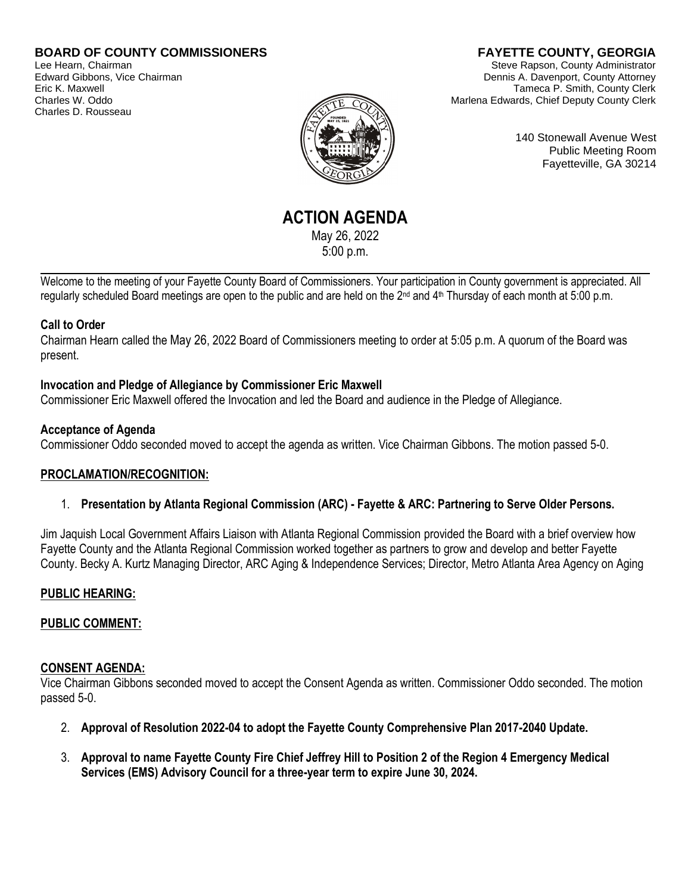### **BOARD OF COUNTY COMMISSIONERS**

Lee Hearn, Chairman Edward Gibbons, Vice Chairman Eric K. Maxwell Charles W. Oddo Charles D. Rousseau

# **FAYETTE COUNTY, GEORGIA**

Steve Rapson, County Administrator Dennis A. Davenport, County Attorney Tameca P. Smith, County Clerk Marlena Edwards, Chief Deputy County Clerk

140 Stonewall Avenue West Public Meeting Room Fayetteville, GA 30214

**ACTION AGENDA** May 26, 2022 5:00 p.m.

Welcome to the meeting of your Fayette County Board of Commissioners. Your participation in County government is appreciated. All regularly scheduled Board meetings are open to the public and are held on the 2<sup>nd</sup> and 4<sup>th</sup> Thursday of each month at 5:00 p.m.

#### **Call to Order**

Chairman Hearn called the May 26, 2022 Board of Commissioners meeting to order at 5:05 p.m. A quorum of the Board was present.

### **Invocation and Pledge of Allegiance by Commissioner Eric Maxwell**

Commissioner Eric Maxwell offered the Invocation and led the Board and audience in the Pledge of Allegiance.

#### **Acceptance of Agenda**

Commissioner Oddo seconded moved to accept the agenda as written. Vice Chairman Gibbons. The motion passed 5-0.

### **PROCLAMATION/RECOGNITION:**

### 1. **Presentation by Atlanta Regional Commission (ARC) - Fayette & ARC: Partnering to Serve Older Persons.**

Jim Jaquish Local Government Affairs Liaison with Atlanta Regional Commission provided the Board with a brief overview how Fayette County and the Atlanta Regional Commission worked together as partners to grow and develop and better Fayette County. Becky A. Kurtz Managing Director, ARC Aging & Independence Services; Director, Metro Atlanta Area Agency on Aging

#### **PUBLIC HEARING:**

### **PUBLIC COMMENT:**

#### **CONSENT AGENDA:**

Vice Chairman Gibbons seconded moved to accept the Consent Agenda as written. Commissioner Oddo seconded. The motion passed 5-0.

- 2. **Approval of Resolution 2022-04 to adopt the Fayette County Comprehensive Plan 2017-2040 Update.**
- 3. **Approval to name Fayette County Fire Chief Jeffrey Hill to Position 2 of the Region 4 Emergency Medical Services (EMS) Advisory Council for a three-year term to expire June 30, 2024.**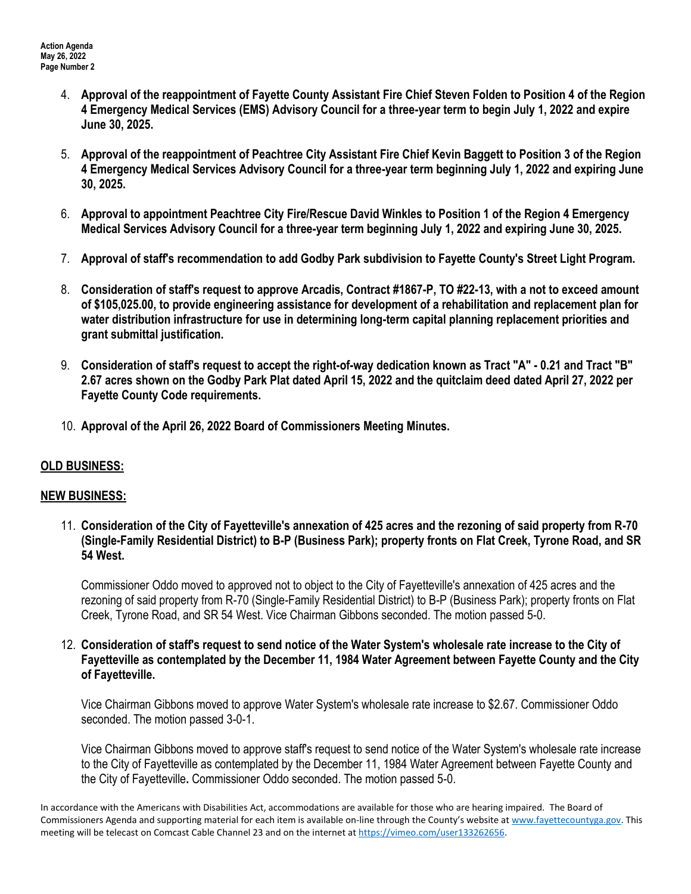- 4. **Approval of the reappointment of Fayette County Assistant Fire Chief Steven Folden to Position 4 of the Region 4 Emergency Medical Services (EMS) Advisory Council for a three-year term to begin July 1, 2022 and expire June 30, 2025.**
- 5. **Approval of the reappointment of Peachtree City Assistant Fire Chief Kevin Baggett to Position 3 of the Region 4 Emergency Medical Services Advisory Council for a three-year term beginning July 1, 2022 and expiring June 30, 2025.**
- 6. **Approval to appointment Peachtree City Fire/Rescue David Winkles to Position 1 of the Region 4 Emergency Medical Services Advisory Council for a three-year term beginning July 1, 2022 and expiring June 30, 2025.**
- 7. **Approval of staff's recommendation to add Godby Park subdivision to Fayette County's Street Light Program.**
- 8. **Consideration of staff's request to approve Arcadis, Contract #1867-P, TO #22-13, with a not to exceed amount of \$105,025.00, to provide engineering assistance for development of a rehabilitation and replacement plan for water distribution infrastructure for use in determining long-term capital planning replacement priorities and grant submittal justification.**
- 9. **Consideration of staff's request to accept the right-of-way dedication known as Tract "A" - 0.21 and Tract "B" 2.67 acres shown on the Godby Park Plat dated April 15, 2022 and the quitclaim deed dated April 27, 2022 per Fayette County Code requirements.**
- 10. **Approval of the April 26, 2022 Board of Commissioners Meeting Minutes.**

## **OLD BUSINESS:**

## **NEW BUSINESS:**

11. **Consideration of the City of Fayetteville's annexation of 425 acres and the rezoning of said property from R-70 (Single-Family Residential District) to B-P (Business Park); property fronts on Flat Creek, Tyrone Road, and SR 54 West.**

Commissioner Oddo moved to approved not to object to the City of Fayetteville's annexation of 425 acres and the rezoning of said property from R-70 (Single-Family Residential District) to B-P (Business Park); property fronts on Flat Creek, Tyrone Road, and SR 54 West. Vice Chairman Gibbons seconded. The motion passed 5-0.

12. **Consideration of staff's request to send notice of the Water System's wholesale rate increase to the City of Fayetteville as contemplated by the December 11, 1984 Water Agreement between Fayette County and the City of Fayetteville.**

Vice Chairman Gibbons moved to approve Water System's wholesale rate increase to \$2.67. Commissioner Oddo seconded. The motion passed 3-0-1.

Vice Chairman Gibbons moved to approve staff's request to send notice of the Water System's wholesale rate increase to the City of Fayetteville as contemplated by the December 11, 1984 Water Agreement between Fayette County and the City of Fayetteville**.** Commissioner Oddo seconded. The motion passed 5-0.

In accordance with the Americans with Disabilities Act, accommodations are available for those who are hearing impaired. The Board of Commissioners Agenda and supporting material for each item is available on-line through the County's website at [www.fayettecountyga.gov.](http://www.fayettecountyga.gov/) This meeting will be telecast on Comcast Cable Channel 23 and on the internet at [https://vimeo.com/user133262656.](https://vimeo.com/user133262656)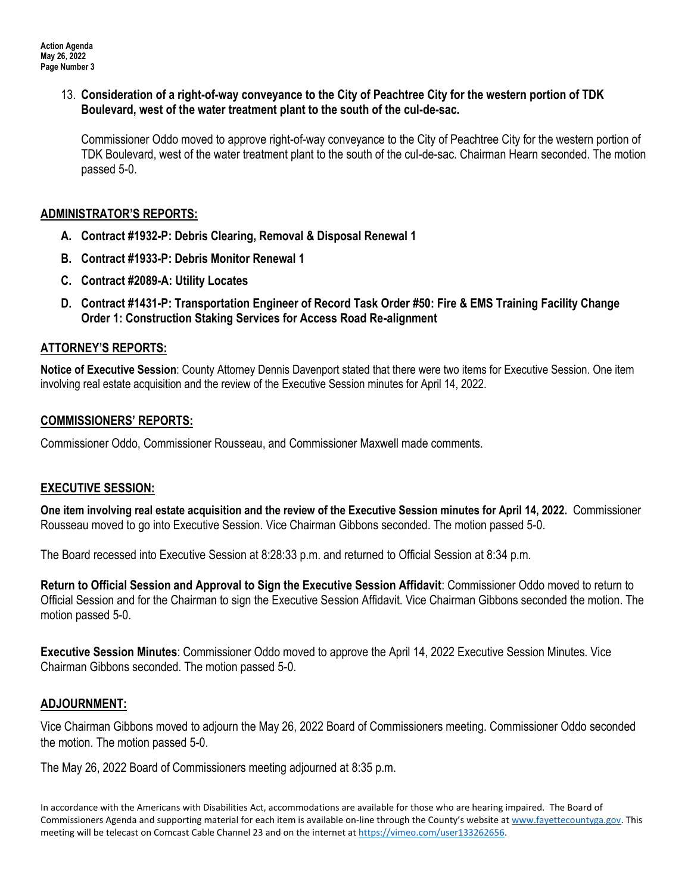### 13. **Consideration of a right-of-way conveyance to the City of Peachtree City for the western portion of TDK Boulevard, west of the water treatment plant to the south of the cul-de-sac.**

Commissioner Oddo moved to approve right-of-way conveyance to the City of Peachtree City for the western portion of TDK Boulevard, west of the water treatment plant to the south of the cul-de-sac. Chairman Hearn seconded. The motion passed 5-0.

## **ADMINISTRATOR'S REPORTS:**

- **A. Contract #1932-P: Debris Clearing, Removal & Disposal Renewal 1**
- **B. Contract #1933-P: Debris Monitor Renewal 1**
- **C. Contract #2089-A: Utility Locates**
- **D. Contract #1431-P: Transportation Engineer of Record Task Order #50: Fire & EMS Training Facility Change Order 1: Construction Staking Services for Access Road Re-alignment**

# **ATTORNEY'S REPORTS:**

**Notice of Executive Session**: County Attorney Dennis Davenport stated that there were two items for Executive Session. One item involving real estate acquisition and the review of the Executive Session minutes for April 14, 2022.

## **COMMISSIONERS' REPORTS:**

Commissioner Oddo, Commissioner Rousseau, and Commissioner Maxwell made comments.

## **EXECUTIVE SESSION:**

**One item involving real estate acquisition and the review of the Executive Session minutes for April 14, 2022.** Commissioner Rousseau moved to go into Executive Session. Vice Chairman Gibbons seconded. The motion passed 5-0.

The Board recessed into Executive Session at 8:28:33 p.m. and returned to Official Session at 8:34 p.m.

**Return to Official Session and Approval to Sign the Executive Session Affidavit**: Commissioner Oddo moved to return to Official Session and for the Chairman to sign the Executive Session Affidavit. Vice Chairman Gibbons seconded the motion. The motion passed 5-0.

**Executive Session Minutes**: Commissioner Oddo moved to approve the April 14, 2022 Executive Session Minutes. Vice Chairman Gibbons seconded. The motion passed 5-0.

## **ADJOURNMENT:**

Vice Chairman Gibbons moved to adjourn the May 26, 2022 Board of Commissioners meeting. Commissioner Oddo seconded the motion. The motion passed 5-0.

The May 26, 2022 Board of Commissioners meeting adjourned at 8:35 p.m.

In accordance with the Americans with Disabilities Act, accommodations are available for those who are hearing impaired. The Board of Commissioners Agenda and supporting material for each item is available on-line through the County's website at [www.fayettecountyga.gov.](http://www.fayettecountyga.gov/) This meeting will be telecast on Comcast Cable Channel 23 and on the internet at [https://vimeo.com/user133262656.](https://vimeo.com/user133262656)